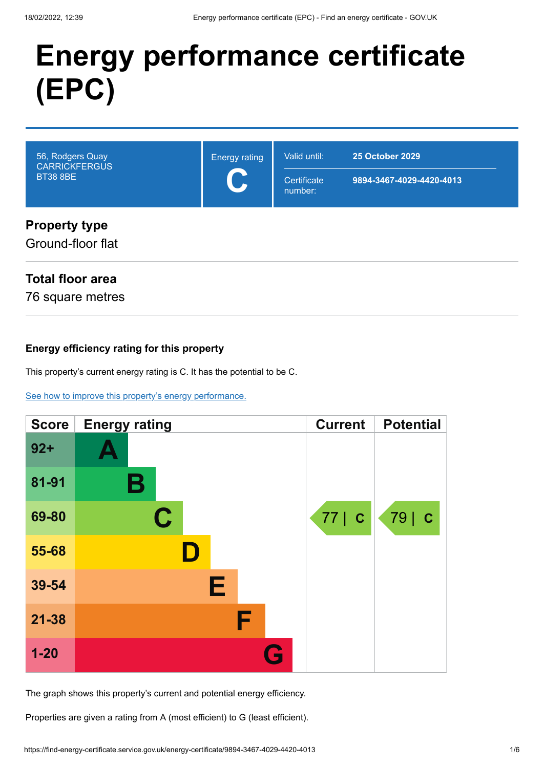# **Energy performance certificate (EPC)**

| 56, Rodgers Quay<br><b>CARRICKFERGUS</b><br><b>BT38 8BE</b> | <b>Energy rating</b> | Valid until:<br>Certificate<br>number: | <b>25 October 2029</b><br>9894-3467-4029-4420-4013 |
|-------------------------------------------------------------|----------------------|----------------------------------------|----------------------------------------------------|
| <b>Property type</b><br>Ground-floor flat                   |                      |                                        |                                                    |

### **Total floor area**

76 square metres

#### **Energy efficiency rating for this property**

This property's current energy rating is C. It has the potential to be C.

[See how to improve this property's energy performance.](#page-3-0)

| <b>Score</b> | <b>Energy rating</b> | <b>Current</b> | <b>Potential</b> |
|--------------|----------------------|----------------|------------------|
| $92 +$       |                      |                |                  |
| 81-91        | В                    |                |                  |
| 69-80        | C                    | 77   C         | 79   C           |
| 55-68        |                      |                |                  |
| 39-54        | Е                    |                |                  |
| $21 - 38$    | F                    |                |                  |
| $1 - 20$     | $\bullet$            |                |                  |

The graph shows this property's current and potential energy efficiency.

Properties are given a rating from A (most efficient) to G (least efficient).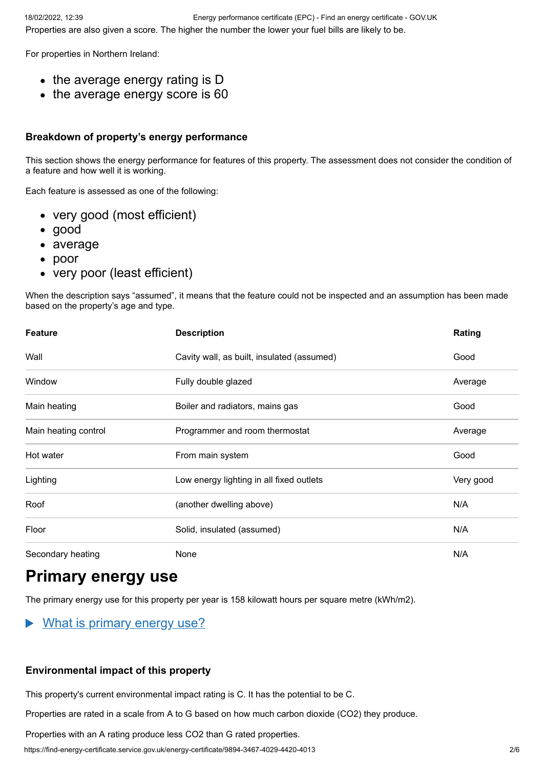For properties in Northern Ireland:

- the average energy rating is D
- the average energy score is 60

#### **Breakdown of property's energy performance**

This section shows the energy performance for features of this property. The assessment does not consider the condition of a feature and how well it is working.

Each feature is assessed as one of the following:

- very good (most efficient)
- good
- average
- poor
- very poor (least efficient)

When the description says "assumed", it means that the feature could not be inspected and an assumption has been made based on the property's age and type.

| <b>Feature</b>       | <b>Description</b>                         | Rating    |
|----------------------|--------------------------------------------|-----------|
| Wall                 | Cavity wall, as built, insulated (assumed) | Good      |
| Window               | Fully double glazed                        | Average   |
| Main heating         | Boiler and radiators, mains gas            | Good      |
| Main heating control | Programmer and room thermostat             | Average   |
| Hot water            | From main system                           | Good      |
| Lighting             | Low energy lighting in all fixed outlets   | Very good |
| Roof                 | (another dwelling above)                   | N/A       |
| Floor                | Solid, insulated (assumed)                 | N/A       |
| Secondary heating    | None                                       | N/A       |

### **Primary energy use**

The primary energy use for this property per year is 158 kilowatt hours per square metre (kWh/m2).

#### $\blacktriangleright$ What is primary energy use?

#### **Environmental impact of this property**

This property's current environmental impact rating is C. It has the potential to be C.

Properties are rated in a scale from A to G based on how much carbon dioxide (CO2) they produce.

Properties with an A rating produce less CO2 than G rated properties.

https://find-energy-certificate.service.gov.uk/energy-certificate/9894-3467-4029-4420-4013 2/6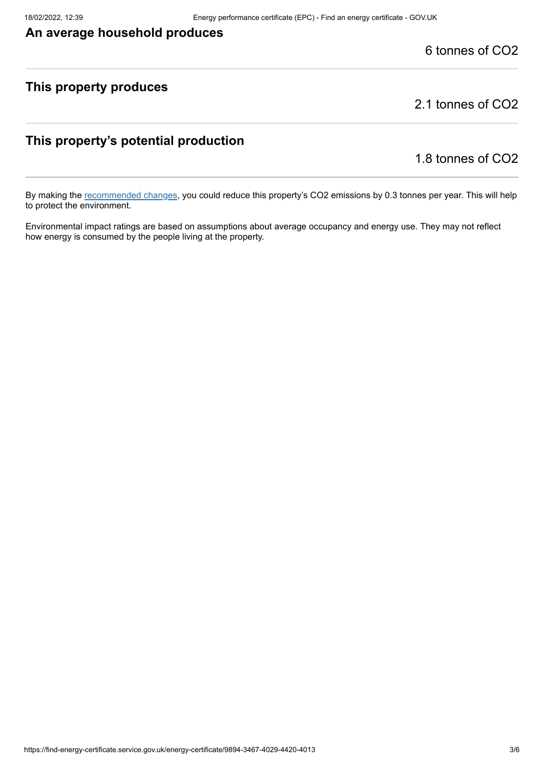### **An average household produces**

### 6 tonnes of CO2

### **This property produces**

2.1 tonnes of CO2

### **This property's potential production**

1.8 tonnes of CO2

By making the [recommended changes](#page-3-0), you could reduce this property's CO2 emissions by 0.3 tonnes per year. This will help to protect the environment.

Environmental impact ratings are based on assumptions about average occupancy and energy use. They may not reflect how energy is consumed by the people living at the property.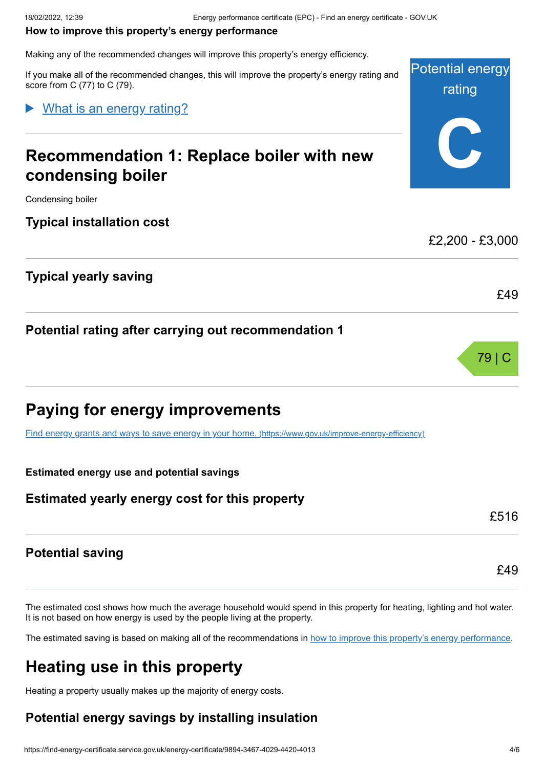#### <span id="page-3-0"></span>**How to improve this property's energy performance**

Making any of the recommended changes will improve this property's energy efficiency.

If you make all of the recommended changes, this will improve the property's energy rating and score from C (77) to C (79).

What is an energy rating?

### **Recommendation 1: Replace boiler with new condensing boiler**

Condensing boiler

**Typical installation cost**

**Typical yearly saving**

**Potential rating after carrying out recommendation 1**



[Find energy grants and ways to save energy in your home.](https://www.gov.uk/improve-energy-efficiency) (https://www.gov.uk/improve-energy-efficiency)

**Estimated energy use and potential savings**

### **Estimated yearly energy cost for this property**

#### **Potential saving**

The estimated cost shows how much the average household would spend in this property for heating, lighting and hot water. It is not based on how energy is used by the people living at the property.

The estimated saving is based on making all of the recommendations in [how to improve this property's energy performance.](#page-3-0)

### **Heating use in this property**

Heating a property usually makes up the majority of energy costs.

### **Potential energy savings by installing insulation**

**Potential energy** rating **C**

£2,200 - £3,000

£49



79 | C

£49

£516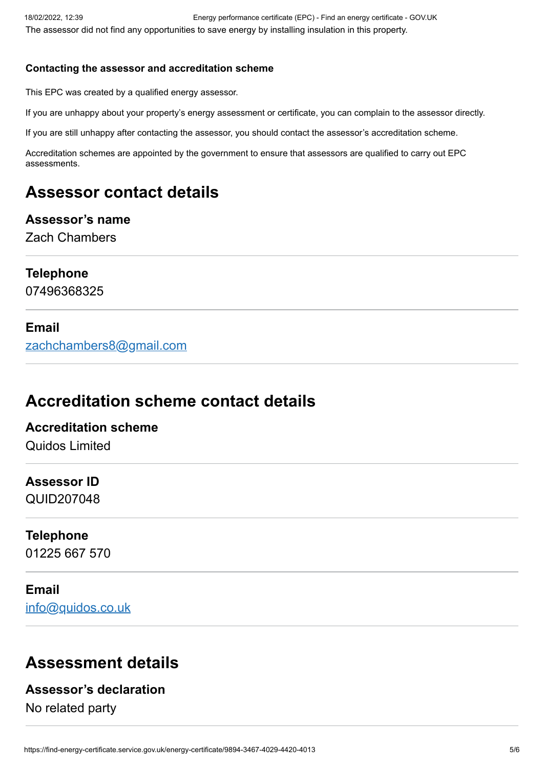#### **Contacting the assessor and accreditation scheme**

This EPC was created by a qualified energy assessor.

If you are unhappy about your property's energy assessment or certificate, you can complain to the assessor directly.

If you are still unhappy after contacting the assessor, you should contact the assessor's accreditation scheme.

Accreditation schemes are appointed by the government to ensure that assessors are qualified to carry out EPC assessments.

### **Assessor contact details**

### **Assessor's name**

Zach Chambers

### **Telephone**

07496368325

### **Email**

[zachchambers8@gmail.com](mailto:zachchambers8@gmail.com)

### **Accreditation scheme contact details**

### **Accreditation scheme**

Quidos Limited

### **Assessor ID**

QUID207048

### **Telephone**

01225 667 570

### **Email**

[info@quidos.co.uk](mailto:info@quidos.co.uk)

### **Assessment details**

### **Assessor's declaration**

No related party